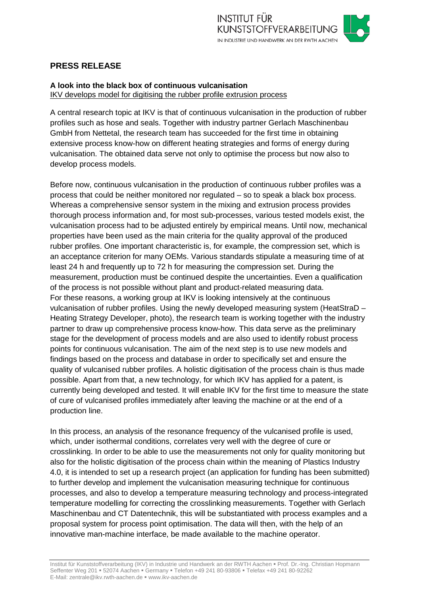# **PRESS RELEASE**

# **A look into the black box of continuous vulcanisation** IKV develops model for digitising the rubber profile extrusion process

A central research topic at IKV is that of continuous vulcanisation in the production of rubber profiles such as hose and seals. Together with industry partner Gerlach Maschinenbau GmbH from Nettetal, the research team has succeeded for the first time in obtaining extensive process know-how on different heating strategies and forms of energy during vulcanisation. The obtained data serve not only to optimise the process but now also to develop process models.

Before now, continuous vulcanisation in the production of continuous rubber profiles was a process that could be neither monitored nor regulated – so to speak a black box process. Whereas a comprehensive sensor system in the mixing and extrusion process provides thorough process information and, for most sub-processes, various tested models exist, the vulcanisation process had to be adjusted entirely by empirical means. Until now, mechanical properties have been used as the main criteria for the quality approval of the produced rubber profiles. One important characteristic is, for example, the compression set, which is an acceptance criterion for many OEMs. Various standards stipulate a measuring time of at least 24 h and frequently up to 72 h for measuring the compression set. During the measurement, production must be continued despite the uncertainties. Even a qualification of the process is not possible without plant and product-related measuring data. For these reasons, a working group at IKV is looking intensively at the continuous vulcanisation of rubber profiles. Using the newly developed measuring system (HeatStraD – Heating Strategy Developer, photo), the research team is working together with the industry partner to draw up comprehensive process know-how. This data serve as the preliminary stage for the development of process models and are also used to identify robust process points for continuous vulcanisation. The aim of the next step is to use new models and findings based on the process and database in order to specifically set and ensure the quality of vulcanised rubber profiles. A holistic digitisation of the process chain is thus made possible. Apart from that, a new technology, for which IKV has applied for a patent, is currently being developed and tested. It will enable IKV for the first time to measure the state of cure of vulcanised profiles immediately after leaving the machine or at the end of a production line.

In this process, an analysis of the resonance frequency of the vulcanised profile is used, which, under isothermal conditions, correlates very well with the degree of cure or crosslinking. In order to be able to use the measurements not only for quality monitoring but also for the holistic digitisation of the process chain within the meaning of Plastics Industry 4.0, it is intended to set up a research project (an application for funding has been submitted) to further develop and implement the vulcanisation measuring technique for continuous processes, and also to develop a temperature measuring technology and process-integrated temperature modelling for correcting the crosslinking measurements. Together with Gerlach Maschinenbau and CT Datentechnik, this will be substantiated with process examples and a proposal system for process point optimisation. The data will then, with the help of an innovative man-machine interface, be made available to the machine operator.

Institut für Kunststoffverarbeitung (IKV) in Industrie und Handwerk an der RWTH Aachen = Prof. Dr.-Ing. Christian Hopmann Seffenter Weg 201 = 52074 Aachen = Germany = Telefon +49 241 80-93806 = Telefax +49 241 80-92262 E-Mail: zentrale@ikv.rwth-aachen.de www.ikv-aachen.de